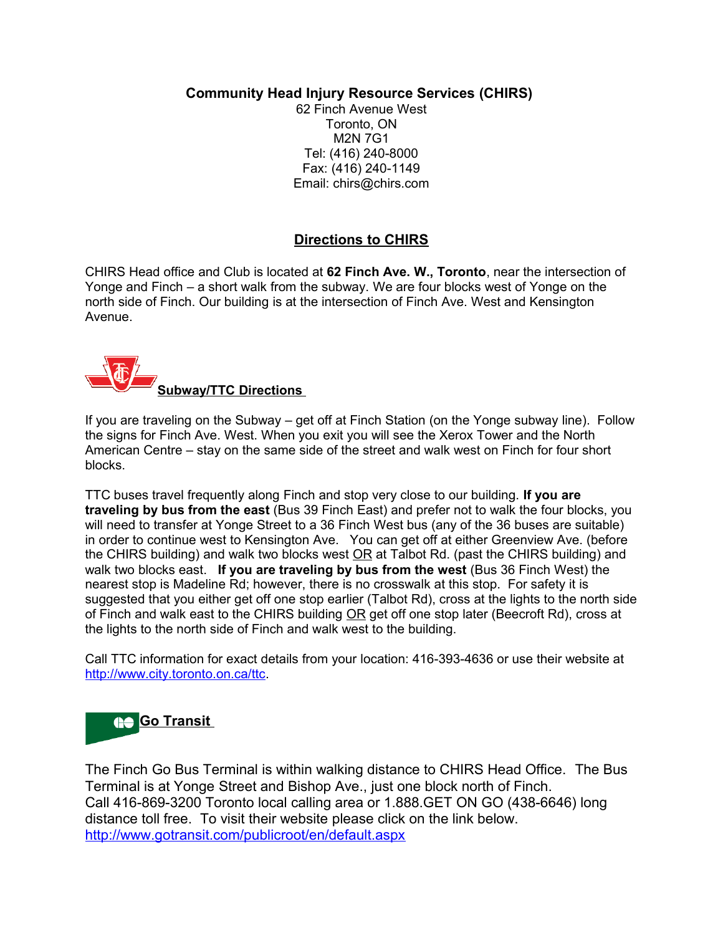**Community Head Injury Resource Services (CHIRS)** 

62 Finch Avenue West Toronto, ON M2N 7G1 Tel: (416) 240-8000 Fax: (416) 240-1149 Email: chirs@chirs.com

## **Directions to CHIRS**

CHIRS Head office and Club is located at **62 Finch Ave. W., Toronto**, near the intersection of Yonge and Finch – a short walk from the subway. We are four blocks west of Yonge on the north side of Finch. Our building is at the intersection of Finch Ave. West and Kensington Avenue.



If you are traveling on the Subway – get off at Finch Station (on the Yonge subway line). Follow the signs for Finch Ave. West. When you exit you will see the Xerox Tower and the North American Centre – stay on the same side of the street and walk west on Finch for four short blocks.

TTC buses travel frequently along Finch and stop very close to our building. **If you are traveling by bus from the east** (Bus 39 Finch East) and prefer not to walk the four blocks, you will need to transfer at Yonge Street to a 36 Finch West bus (any of the 36 buses are suitable) in order to continue west to Kensington Ave. You can get off at either Greenview Ave. (before the CHIRS building) and walk two blocks west OR at Talbot Rd. (past the CHIRS building) and walk two blocks east. **If you are traveling by bus from the west** (Bus 36 Finch West) the nearest stop is Madeline Rd; however, there is no crosswalk at this stop. For safety it is suggested that you either get off one stop earlier (Talbot Rd), cross at the lights to the north side of Finch and walk east to the CHIRS building OR get off one stop later (Beecroft Rd), cross at the lights to the north side of Finch and walk west to the building.

Call TTC information for exact details from your location: 416-393-4636 or use their website at [http://www.city.toronto.on.ca/ttc.](http://www.city.toronto.on.ca/ttc/)



The Finch Go Bus Terminal is within walking distance to CHIRS Head Office. The Bus Terminal is at Yonge Street and Bishop Ave., just one block north of Finch. Call 416-869-3200 Toronto local calling area or 1.888.GET ON GO (438-6646) long distance toll free. To visit their website please click on the link below. <http://www.gotransit.com/publicroot/en/default.aspx>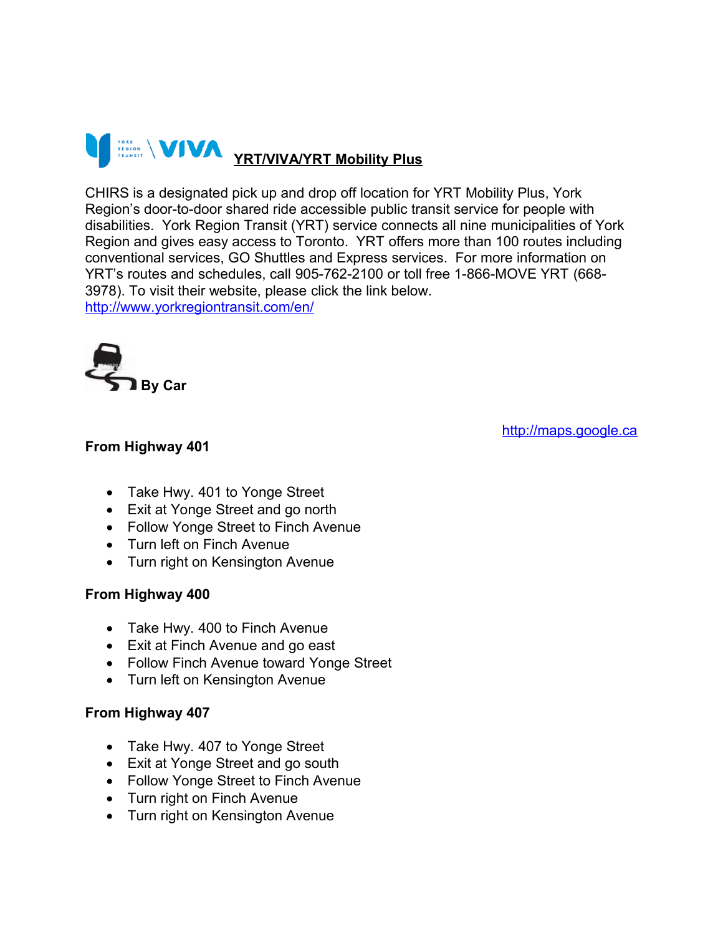

CHIRS is a designated pick up and drop off location for YRT Mobility Plus, York Region's door-to-door shared ride accessible public transit service for people with disabilities. York Region Transit (YRT) service connects all nine municipalities of York Region and gives easy access to Toronto. YRT offers more than 100 routes including conventional services, GO Shuttles and Express services. For more information on YRT's routes and schedules, call 905-762-2100 or toll free 1-866-MOVE YRT (668- 3978). To visit their website, please click the link below. <http://www.yorkregiontransit.com/en/>



## **From Highway 401**

[http://maps.google.ca](http://maps.google.ca/maps?hl=en&q=62+Finch+AVe.+W&ie=UTF8&gl=ca&ei=jdrxSsqNMdTdlAfq14S9Aw&ved=0CAwQ8gEwAA&hq=&hnear=62+Finch+Ave+W,+Toronto,+Toronto+Division,+Ontario&z=16&iwloc=A)

- Take Hwy. 401 to Yonge Street
- Exit at Yonge Street and go north
- Follow Yonge Street to Finch Avenue
- Turn left on Finch Avenue
- Turn right on Kensington Avenue

## **From Highway 400**

- Take Hwy. 400 to Finch Avenue
- Exit at Finch Avenue and go east
- Follow Finch Avenue toward Yonge Street
- Turn left on Kensington Avenue

## **From Highway 407**

- Take Hwy. 407 to Yonge Street
- Exit at Yonge Street and go south
- Follow Yonge Street to Finch Avenue
- Turn right on Finch Avenue
- Turn right on Kensington Avenue